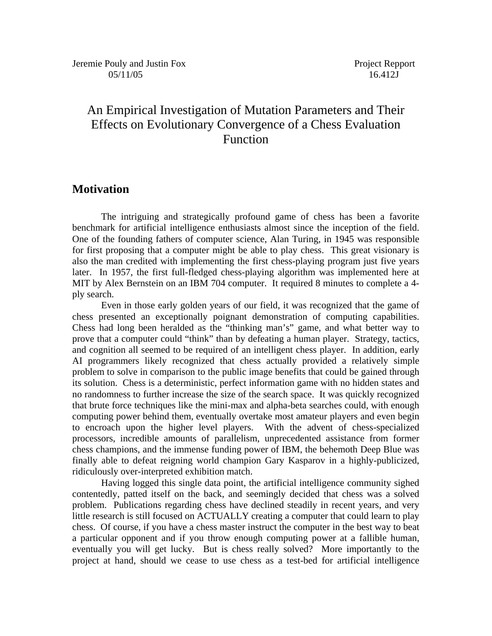# An Empirical Investigation of Mutation Parameters and Their Effects on Evolutionary Convergence of a Chess Evaluation Function

## **Motivation**

 The intriguing and strategically profound game of chess has been a favorite benchmark for artificial intelligence enthusiasts almost since the inception of the field. One of the founding fathers of computer science, Alan Turing, in 1945 was responsible for first proposing that a computer might be able to play chess. This great visionary is also the man credited with implementing the first chess-playing program just five years later. In 1957, the first full-fledged chess-playing algorithm was implemented here at MIT by Alex Bernstein on an IBM 704 computer. It required 8 minutes to complete a 4 ply search.

 Even in those early golden years of our field, it was recognized that the game of chess presented an exceptionally poignant demonstration of computing capabilities. Chess had long been heralded as the "thinking man's" game, and what better way to prove that a computer could "think" than by defeating a human player. Strategy, tactics, and cognition all seemed to be required of an intelligent chess player. In addition, early AI programmers likely recognized that chess actually provided a relatively simple problem to solve in comparison to the public image benefits that could be gained through its solution. Chess is a deterministic, perfect information game with no hidden states and no randomness to further increase the size of the search space. It was quickly recognized that brute force techniques like the mini-max and alpha-beta searches could, with enough computing power behind them, eventually overtake most amateur players and even begin to encroach upon the higher level players. With the advent of chess-specialized processors, incredible amounts of parallelism, unprecedented assistance from former chess champions, and the immense funding power of IBM, the behemoth Deep Blue was finally able to defeat reigning world champion Gary Kasparov in a highly-publicized, ridiculously over-interpreted exhibition match.

Having logged this single data point, the artificial intelligence community sighed contentedly, patted itself on the back, and seemingly decided that chess was a solved problem. Publications regarding chess have declined steadily in recent years, and very little research is still focused on ACTUALLY creating a computer that could learn to play chess. Of course, if you have a chess master instruct the computer in the best way to beat a particular opponent and if you throw enough computing power at a fallible human, eventually you will get lucky. But is chess really solved? More importantly to the project at hand, should we cease to use chess as a test-bed for artificial intelligence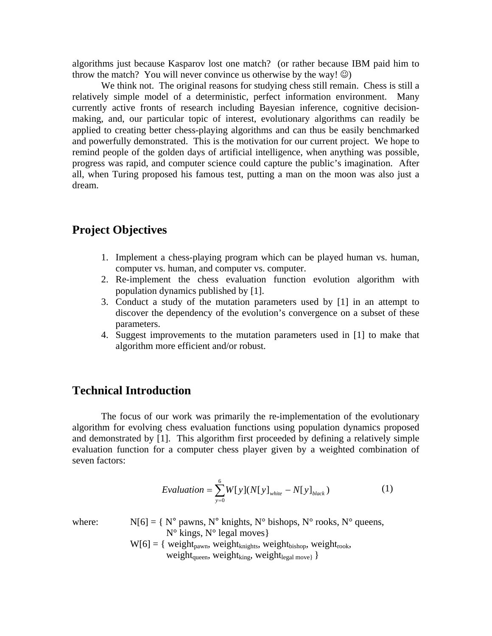algorithms just because Kasparov lost one match? (or rather because IBM paid him to throw the match? You will never convince us otherwise by the way!  $\circledcirc$ )

We think not. The original reasons for studying chess still remain. Chess is still a relatively simple model of a deterministic, perfect information environment. Many currently active fronts of research including Bayesian inference, cognitive decisionmaking, and, our particular topic of interest, evolutionary algorithms can readily be applied to creating better chess-playing algorithms and can thus be easily benchmarked and powerfully demonstrated. This is the motivation for our current project. We hope to remind people of the golden days of artificial intelligence, when anything was possible, progress was rapid, and computer science could capture the public's imagination. After all, when Turing proposed his famous test, putting a man on the moon was also just a dream.

## **Project Objectives**

- 1. Implement a chess-playing program which can be played human vs. human, computer vs. human, and computer vs. computer.
- 2. Re-implement the chess evaluation function evolution algorithm with population dynamics published by [1].
- 3. Conduct a study of the mutation parameters used by [1] in an attempt to discover the dependency of the evolution's convergence on a subset of these parameters.
- 4. Suggest improvements to the mutation parameters used in [1] to make that algorithm more efficient and/or robust.

## **Technical Introduction**

The focus of our work was primarily the re-implementation of the evolutionary algorithm for evolving chess evaluation functions using population dynamics proposed and demonstrated by [1]. This algorithm first proceeded by defining a relatively simple evaluation function for a computer chess player given by a weighted combination of seven factors:

$$
Evaluation = \sum_{y=0}^{6} W[y](N[y]_{\text{white}} - N[y]_{\text{black}})
$$
 (1)

where:  $N[6] = \{ N^{\circ}$  pawns,  $N^{\circ}$  knights,  $N^{\circ}$  bishops,  $N^{\circ}$  rooks,  $N^{\circ}$  queens,  $N^{\circ}$  kings,  $N^{\circ}$  legal moves }

> $W[6] = \{ weight_{pawn}, weight_{knights}, weight_{bishop}, weight_{rook},$ weight<sub>queen</sub>, weight<sub>king</sub>, weight<sub>legal move}</sub> }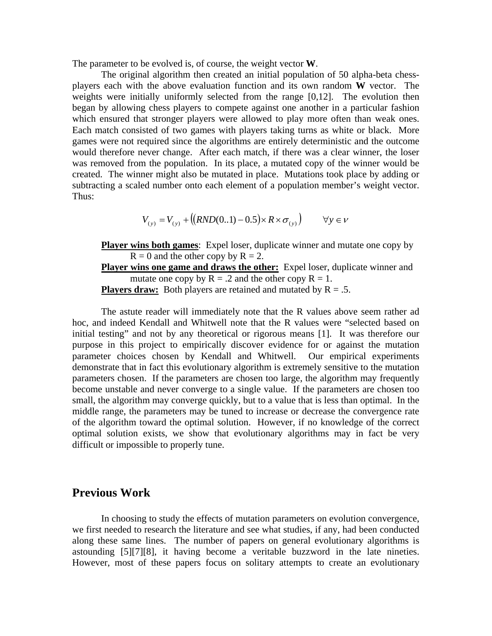The parameter to be evolved is, of course, the weight vector **W**.

The original algorithm then created an initial population of 50 alpha-beta chessplayers each with the above evaluation function and its own random **W** vector. The weights were initially uniformly selected from the range [0,12]. The evolution then began by allowing chess players to compete against one another in a particular fashion which ensured that stronger players were allowed to play more often than weak ones. Each match consisted of two games with players taking turns as white or black. More games were not required since the algorithms are entirely deterministic and the outcome would therefore never change. After each match, if there was a clear winner, the loser was removed from the population. In its place, a mutated copy of the winner would be created. The winner might also be mutated in place. Mutations took place by adding or subtracting a scaled number onto each element of a population member's weight vector. Thus:

$$
V_{(y)} = V_{(y)} + ((RND(0..1) - 0.5) \times R \times \sigma_{(y)}) \qquad \forall y \in V
$$

**Player wins both games**: Expel loser, duplicate winner and mutate one copy by  $R = 0$  and the other copy by  $R = 2$ .

**Player wins one game and draws the other:** Expel loser, duplicate winner and mutate one copy by  $R = .2$  and the other copy  $R = 1$ .

**Players draw:** Both players are retained and mutated by  $R = .5$ .

The astute reader will immediately note that the R values above seem rather ad hoc, and indeed Kendall and Whitwell note that the R values were "selected based on initial testing" and not by any theoretical or rigorous means [1]. It was therefore our purpose in this project to empirically discover evidence for or against the mutation parameter choices chosen by Kendall and Whitwell. Our empirical experiments demonstrate that in fact this evolutionary algorithm is extremely sensitive to the mutation parameters chosen. If the parameters are chosen too large, the algorithm may frequently become unstable and never converge to a single value. If the parameters are chosen too small, the algorithm may converge quickly, but to a value that is less than optimal. In the middle range, the parameters may be tuned to increase or decrease the convergence rate of the algorithm toward the optimal solution. However, if no knowledge of the correct optimal solution exists, we show that evolutionary algorithms may in fact be very difficult or impossible to properly tune.

### **Previous Work**

In choosing to study the effects of mutation parameters on evolution convergence, we first needed to research the literature and see what studies, if any, had been conducted along these same lines. The number of papers on general evolutionary algorithms is astounding [5][7][8], it having become a veritable buzzword in the late nineties. However, most of these papers focus on solitary attempts to create an evolutionary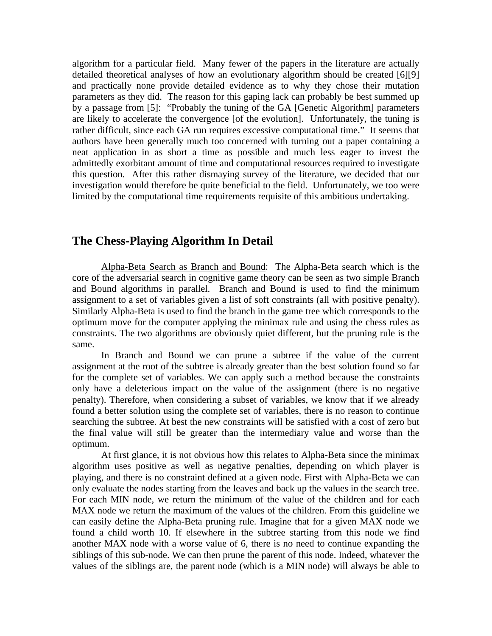algorithm for a particular field. Many fewer of the papers in the literature are actually detailed theoretical analyses of how an evolutionary algorithm should be created [6][9] and practically none provide detailed evidence as to why they chose their mutation parameters as they did. The reason for this gaping lack can probably be best summed up by a passage from [5]: "Probably the tuning of the GA [Genetic Algorithm] parameters are likely to accelerate the convergence [of the evolution]. Unfortunately, the tuning is rather difficult, since each GA run requires excessive computational time." It seems that authors have been generally much too concerned with turning out a paper containing a neat application in as short a time as possible and much less eager to invest the admittedly exorbitant amount of time and computational resources required to investigate this question. After this rather dismaying survey of the literature, we decided that our investigation would therefore be quite beneficial to the field. Unfortunately, we too were limited by the computational time requirements requisite of this ambitious undertaking.

# **The Chess-Playing Algorithm In Detail**

Alpha-Beta Search as Branch and Bound: The Alpha-Beta search which is the core of the adversarial search in cognitive game theory can be seen as two simple Branch and Bound algorithms in parallel. Branch and Bound is used to find the minimum assignment to a set of variables given a list of soft constraints (all with positive penalty). Similarly Alpha-Beta is used to find the branch in the game tree which corresponds to the optimum move for the computer applying the minimax rule and using the chess rules as constraints. The two algorithms are obviously quiet different, but the pruning rule is the same.

In Branch and Bound we can prune a subtree if the value of the current assignment at the root of the subtree is already greater than the best solution found so far for the complete set of variables. We can apply such a method because the constraints only have a deleterious impact on the value of the assignment (there is no negative penalty). Therefore, when considering a subset of variables, we know that if we already found a better solution using the complete set of variables, there is no reason to continue searching the subtree. At best the new constraints will be satisfied with a cost of zero but the final value will still be greater than the intermediary value and worse than the optimum.

At first glance, it is not obvious how this relates to Alpha-Beta since the minimax algorithm uses positive as well as negative penalties, depending on which player is playing, and there is no constraint defined at a given node. First with Alpha-Beta we can only evaluate the nodes starting from the leaves and back up the values in the search tree. For each MIN node, we return the minimum of the value of the children and for each MAX node we return the maximum of the values of the children. From this guideline we can easily define the Alpha-Beta pruning rule. Imagine that for a given MAX node we found a child worth 10. If elsewhere in the subtree starting from this node we find another MAX node with a worse value of 6, there is no need to continue expanding the siblings of this sub-node. We can then prune the parent of this node. Indeed, whatever the values of the siblings are, the parent node (which is a MIN node) will always be able to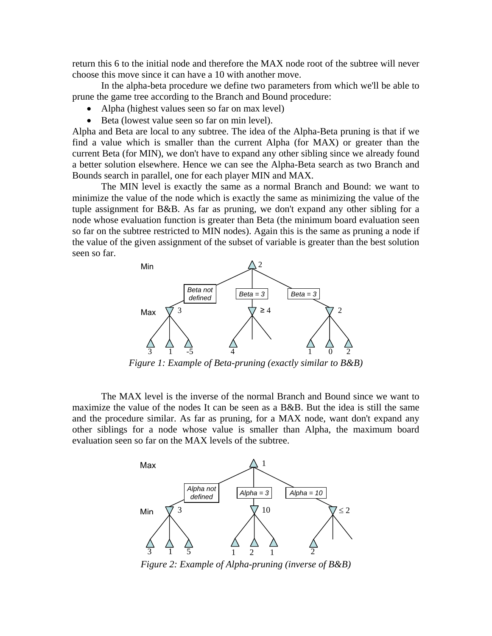return this 6 to the initial node and therefore the MAX node root of the subtree will never choose this move since it can have a 10 with another move.

In the alpha-beta procedure we define two parameters from which we'll be able to prune the game tree according to the Branch and Bound procedure:

- Alpha (highest values seen so far on max level)
- Beta (lowest value seen so far on min level).

Alpha and Beta are local to any subtree. The idea of the Alpha-Beta pruning is that if we find a value which is smaller than the current Alpha (for MAX) or greater than the current Beta (for MIN), we don't have to expand any other sibling since we already found a better solution elsewhere. Hence we can see the Alpha-Beta search as two Branch and Bounds search in parallel, one for each player MIN and MAX.

The MIN level is exactly the same as a normal Branch and Bound: we want to minimize the value of the node which is exactly the same as minimizing the value of the tuple assignment for B&B. As far as pruning, we don't expand any other sibling for a node whose evaluation function is greater than Beta (the minimum board evaluation seen so far on the subtree restricted to MIN nodes). Again this is the same as pruning a node if the value of the given assignment of the subset of variable is greater than the best solution seen so far.



*Figure 1: Example of Beta-pruning (exactly similar to B&B)*

The MAX level is the inverse of the normal Branch and Bound since we want to maximize the value of the nodes It can be seen as a B&B. But the idea is still the same and the procedure similar. As far as pruning, for a MAX node, want don't expand any other siblings for a node whose value is smaller than Alpha, the maximum board evaluation seen so far on the MAX levels of the subtree.



*Figure 2: Example of Alpha-pruning (inverse of B&B)*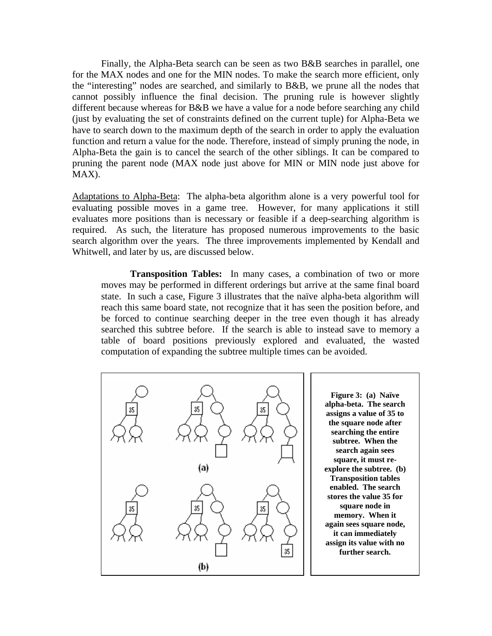Finally, the Alpha-Beta search can be seen as two B&B searches in parallel, one for the MAX nodes and one for the MIN nodes. To make the search more efficient, only the "interesting" nodes are searched, and similarly to B&B, we prune all the nodes that cannot possibly influence the final decision. The pruning rule is however slightly different because whereas for B&B we have a value for a node before searching any child (just by evaluating the set of constraints defined on the current tuple) for Alpha-Beta we have to search down to the maximum depth of the search in order to apply the evaluation function and return a value for the node. Therefore, instead of simply pruning the node, in Alpha-Beta the gain is to cancel the search of the other siblings. It can be compared to pruning the parent node (MAX node just above for MIN or MIN node just above for MAX).

Adaptations to Alpha-Beta: The alpha-beta algorithm alone is a very powerful tool for evaluating possible moves in a game tree. However, for many applications it still evaluates more positions than is necessary or feasible if a deep-searching algorithm is required. As such, the literature has proposed numerous improvements to the basic search algorithm over the years. The three improvements implemented by Kendall and Whitwell, and later by us, are discussed below.

**Transposition Tables:** In many cases, a combination of two or more moves may be performed in different orderings but arrive at the same final board state. In such a case, Figure 3 illustrates that the naïve alpha-beta algorithm will reach this same board state, not recognize that it has seen the position before, and be forced to continue searching deeper in the tree even though it has already searched this subtree before. If the search is able to instead save to memory a table of board positions previously explored and evaluated, the wasted computation of expanding the subtree multiple times can be avoided.



**Figure 3: (a) Naïve alpha-beta. The search assigns a value of 35 to the square node after searching the entire subtree. When the search again sees square, it must reexplore the subtree. (b) Transposition tables enabled. The search stores the value 35 for square node in memory. When it again sees square node, it can immediately assign its value with no further search.**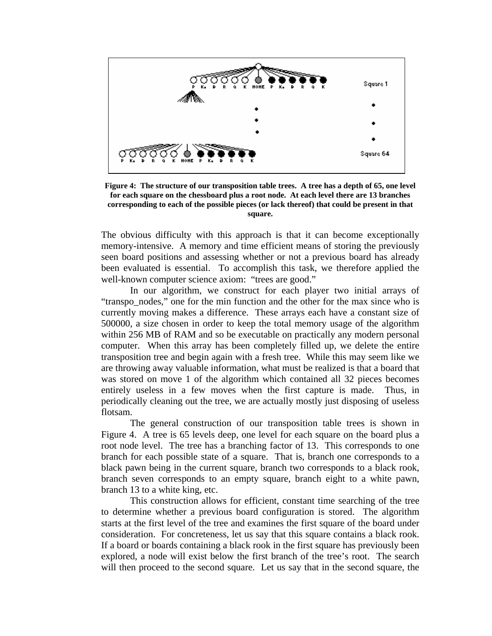

**Figure 4: The structure of our transposition table trees. A tree has a depth of 65, one level for each square on the chessboard plus a root node. At each level there are 13 branches corresponding to each of the possible pieces (or lack thereof) that could be present in that square.** 

The obvious difficulty with this approach is that it can become exceptionally memory-intensive. A memory and time efficient means of storing the previously seen board positions and assessing whether or not a previous board has already been evaluated is essential. To accomplish this task, we therefore applied the well-known computer science axiom: "trees are good."

In our algorithm, we construct for each player two initial arrays of "transpo nodes," one for the min function and the other for the max since who is currently moving makes a difference. These arrays each have a constant size of 500000, a size chosen in order to keep the total memory usage of the algorithm within 256 MB of RAM and so be executable on practically any modern personal computer. When this array has been completely filled up, we delete the entire transposition tree and begin again with a fresh tree. While this may seem like we are throwing away valuable information, what must be realized is that a board that was stored on move 1 of the algorithm which contained all 32 pieces becomes entirely useless in a few moves when the first capture is made. Thus, in periodically cleaning out the tree, we are actually mostly just disposing of useless flotsam.

The general construction of our transposition table trees is shown in Figure 4. A tree is 65 levels deep, one level for each square on the board plus a root node level. The tree has a branching factor of 13. This corresponds to one branch for each possible state of a square. That is, branch one corresponds to a black pawn being in the current square, branch two corresponds to a black rook, branch seven corresponds to an empty square, branch eight to a white pawn, branch 13 to a white king, etc.

This construction allows for efficient, constant time searching of the tree to determine whether a previous board configuration is stored. The algorithm starts at the first level of the tree and examines the first square of the board under consideration. For concreteness, let us say that this square contains a black rook. If a board or boards containing a black rook in the first square has previously been explored, a node will exist below the first branch of the tree's root. The search will then proceed to the second square. Let us say that in the second square, the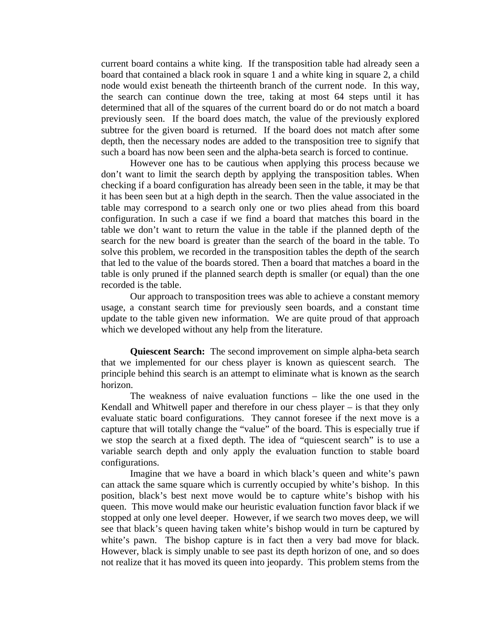current board contains a white king. If the transposition table had already seen a board that contained a black rook in square 1 and a white king in square 2, a child node would exist beneath the thirteenth branch of the current node. In this way, the search can continue down the tree, taking at most 64 steps until it has determined that all of the squares of the current board do or do not match a board previously seen. If the board does match, the value of the previously explored subtree for the given board is returned. If the board does not match after some depth, then the necessary nodes are added to the transposition tree to signify that such a board has now been seen and the alpha-beta search is forced to continue.

However one has to be cautious when applying this process because we don't want to limit the search depth by applying the transposition tables. When checking if a board configuration has already been seen in the table, it may be that it has been seen but at a high depth in the search. Then the value associated in the table may correspond to a search only one or two plies ahead from this board configuration. In such a case if we find a board that matches this board in the table we don't want to return the value in the table if the planned depth of the search for the new board is greater than the search of the board in the table. To solve this problem, we recorded in the transposition tables the depth of the search that led to the value of the boards stored. Then a board that matches a board in the table is only pruned if the planned search depth is smaller (or equal) than the one recorded is the table.

Our approach to transposition trees was able to achieve a constant memory usage, a constant search time for previously seen boards, and a constant time update to the table given new information. We are quite proud of that approach which we developed without any help from the literature.

**Quiescent Search:** The second improvement on simple alpha-beta search that we implemented for our chess player is known as quiescent search. The principle behind this search is an attempt to eliminate what is known as the search horizon.

 The weakness of naive evaluation functions – like the one used in the Kendall and Whitwell paper and therefore in our chess player – is that they only evaluate static board configurations. They cannot foresee if the next move is a capture that will totally change the "value" of the board. This is especially true if we stop the search at a fixed depth. The idea of "quiescent search" is to use a variable search depth and only apply the evaluation function to stable board configurations.

Imagine that we have a board in which black's queen and white's pawn can attack the same square which is currently occupied by white's bishop. In this position, black's best next move would be to capture white's bishop with his queen. This move would make our heuristic evaluation function favor black if we stopped at only one level deeper. However, if we search two moves deep, we will see that black's queen having taken white's bishop would in turn be captured by white's pawn. The bishop capture is in fact then a very bad move for black. However, black is simply unable to see past its depth horizon of one, and so does not realize that it has moved its queen into jeopardy. This problem stems from the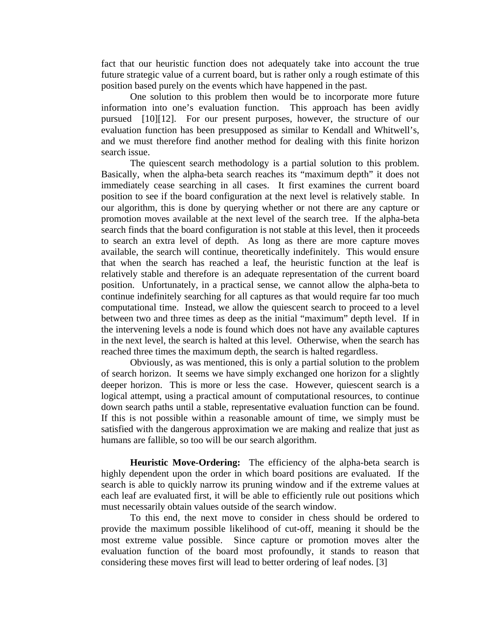fact that our heuristic function does not adequately take into account the true future strategic value of a current board, but is rather only a rough estimate of this position based purely on the events which have happened in the past.

 One solution to this problem then would be to incorporate more future information into one's evaluation function. This approach has been avidly pursued [10][12]. For our present purposes, however, the structure of our evaluation function has been presupposed as similar to Kendall and Whitwell's, and we must therefore find another method for dealing with this finite horizon search issue.

 The quiescent search methodology is a partial solution to this problem. Basically, when the alpha-beta search reaches its "maximum depth" it does not immediately cease searching in all cases. It first examines the current board position to see if the board configuration at the next level is relatively stable. In our algorithm, this is done by querying whether or not there are any capture or promotion moves available at the next level of the search tree. If the alpha-beta search finds that the board configuration is not stable at this level, then it proceeds to search an extra level of depth. As long as there are more capture moves available, the search will continue, theoretically indefinitely. This would ensure that when the search has reached a leaf, the heuristic function at the leaf is relatively stable and therefore is an adequate representation of the current board position. Unfortunately, in a practical sense, we cannot allow the alpha-beta to continue indefinitely searching for all captures as that would require far too much computational time. Instead, we allow the quiescent search to proceed to a level between two and three times as deep as the initial "maximum" depth level. If in the intervening levels a node is found which does not have any available captures in the next level, the search is halted at this level. Otherwise, when the search has reached three times the maximum depth, the search is halted regardless.

 Obviously, as was mentioned, this is only a partial solution to the problem of search horizon. It seems we have simply exchanged one horizon for a slightly deeper horizon. This is more or less the case. However, quiescent search is a logical attempt, using a practical amount of computational resources, to continue down search paths until a stable, representative evaluation function can be found. If this is not possible within a reasonable amount of time, we simply must be satisfied with the dangerous approximation we are making and realize that just as humans are fallible, so too will be our search algorithm.

**Heuristic Move-Ordering:** The efficiency of the alpha-beta search is highly dependent upon the order in which board positions are evaluated. If the search is able to quickly narrow its pruning window and if the extreme values at each leaf are evaluated first, it will be able to efficiently rule out positions which must necessarily obtain values outside of the search window.

To this end, the next move to consider in chess should be ordered to provide the maximum possible likelihood of cut-off, meaning it should be the most extreme value possible. Since capture or promotion moves alter the evaluation function of the board most profoundly, it stands to reason that considering these moves first will lead to better ordering of leaf nodes. [3]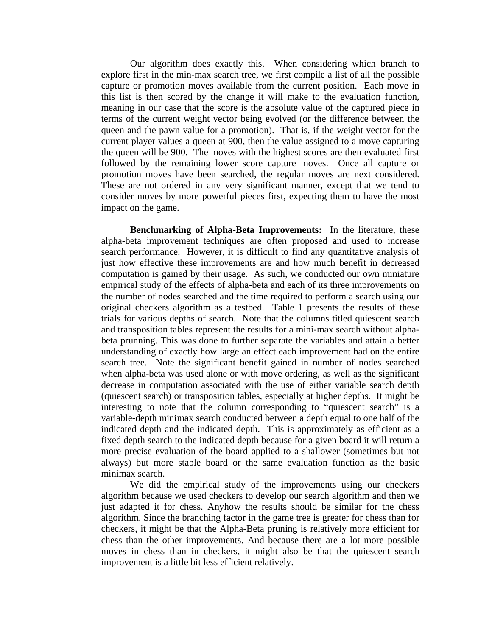Our algorithm does exactly this. When considering which branch to explore first in the min-max search tree, we first compile a list of all the possible capture or promotion moves available from the current position. Each move in this list is then scored by the change it will make to the evaluation function, meaning in our case that the score is the absolute value of the captured piece in terms of the current weight vector being evolved (or the difference between the queen and the pawn value for a promotion). That is, if the weight vector for the current player values a queen at 900, then the value assigned to a move capturing the queen will be 900. The moves with the highest scores are then evaluated first followed by the remaining lower score capture moves. Once all capture or promotion moves have been searched, the regular moves are next considered. These are not ordered in any very significant manner, except that we tend to consider moves by more powerful pieces first, expecting them to have the most impact on the game.

**Benchmarking of Alpha-Beta Improvements:** In the literature, these alpha-beta improvement techniques are often proposed and used to increase search performance. However, it is difficult to find any quantitative analysis of just how effective these improvements are and how much benefit in decreased computation is gained by their usage. As such, we conducted our own miniature empirical study of the effects of alpha-beta and each of its three improvements on the number of nodes searched and the time required to perform a search using our original checkers algorithm as a testbed. Table 1 presents the results of these trials for various depths of search. Note that the columns titled quiescent search and transposition tables represent the results for a mini-max search without alphabeta prunning. This was done to further separate the variables and attain a better understanding of exactly how large an effect each improvement had on the entire search tree. Note the significant benefit gained in number of nodes searched when alpha-beta was used alone or with move ordering, as well as the significant decrease in computation associated with the use of either variable search depth (quiescent search) or transposition tables, especially at higher depths. It might be interesting to note that the column corresponding to "quiescent search" is a variable-depth minimax search conducted between a depth equal to one half of the indicated depth and the indicated depth. This is approximately as efficient as a fixed depth search to the indicated depth because for a given board it will return a more precise evaluation of the board applied to a shallower (sometimes but not always) but more stable board or the same evaluation function as the basic minimax search.

We did the empirical study of the improvements using our checkers algorithm because we used checkers to develop our search algorithm and then we just adapted it for chess. Anyhow the results should be similar for the chess algorithm. Since the branching factor in the game tree is greater for chess than for checkers, it might be that the Alpha-Beta pruning is relatively more efficient for chess than the other improvements. And because there are a lot more possible moves in chess than in checkers, it might also be that the quiescent search improvement is a little bit less efficient relatively.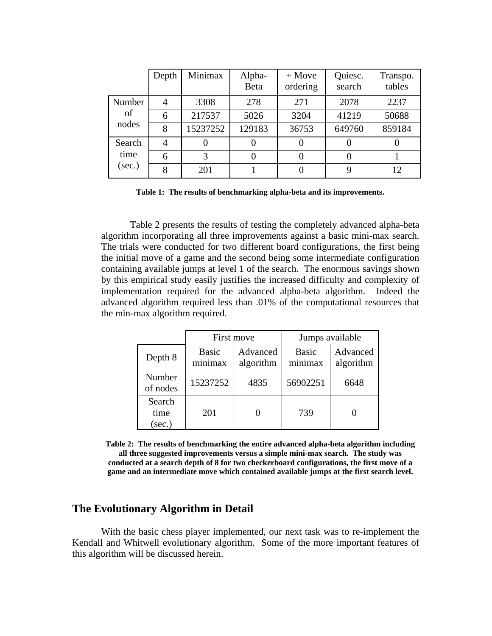|        | Depth          | Minimax  | Alpha-<br><b>Beta</b> | $+$ Move<br>ordering | Quiesc.<br>search | Transpo.<br>tables |
|--------|----------------|----------|-----------------------|----------------------|-------------------|--------------------|
| Number | $\overline{4}$ | 3308     | 278                   | 271                  | 2078              | 2237               |
| of     | 6              | 217537   | 5026                  | 3204                 | 41219             | 50688              |
| nodes  | 8              | 15237252 | 129183                | 36753                | 649760            | 859184             |
| Search | $\overline{4}$ |          |                       | 0                    |                   |                    |
| time   | 6              | 3        |                       | 0                    |                   |                    |
| (sec.) | 8              | 201      |                       |                      | 9                 | 12                 |

**Table 1: The results of benchmarking alpha-beta and its improvements.** 

 Table 2 presents the results of testing the completely advanced alpha-beta algorithm incorporating all three improvements against a basic mini-max search. The trials were conducted for two different board configurations, the first being the initial move of a game and the second being some intermediate configuration containing available jumps at level 1 of the search. The enormous savings shown by this empirical study easily justifies the increased difficulty and complexity of implementation required for the advanced alpha-beta algorithm. Indeed the advanced algorithm required less than .01% of the computational resources that the min-max algorithm required.

|                             |                         | First move            | Jumps available         |                       |
|-----------------------------|-------------------------|-----------------------|-------------------------|-----------------------|
| Depth 8                     | <b>Basic</b><br>minimax | Advanced<br>algorithm | <b>Basic</b><br>minimax | Advanced<br>algorithm |
| Number<br>of nodes          | 15237252                | 4835                  | 56902251                | 6648                  |
| Search<br>time<br>$(\sec.)$ | 201                     |                       | 739                     |                       |

**Table 2: The results of benchmarking the entire advanced alpha-beta algorithm including all three suggested improvements versus a simple mini-max search. The study was conducted at a search depth of 8 for two checkerboard configurations, the first move of a game and an intermediate move which contained available jumps at the first search level.** 

#### **The Evolutionary Algorithm in Detail**

With the basic chess player implemented, our next task was to re-implement the Kendall and Whitwell evolutionary algorithm. Some of the more important features of this algorithm will be discussed herein.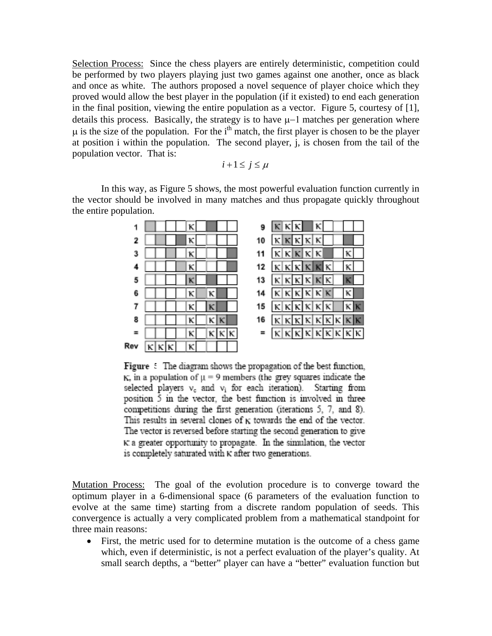Selection Process: Since the chess players are entirely deterministic, competition could be performed by two players playing just two games against one another, once as black and once as white. The authors proposed a novel sequence of player choice which they proved would allow the best player in the population (if it existed) to end each generation in the final position, viewing the entire population as a vector. Figure 5, courtesy of [1], details this process. Basically, the strategy is to have µ−1 matches per generation where  $\mu$  is the size of the population. For the i<sup>th</sup> match, the first player is chosen to be the player at position i within the population. The second player, j, is chosen from the tail of the population vector. That is:

 $i+1 \leq j \leq \mu$ 

In this way, as Figure 5 shows, the most powerful evaluation function currently in the vector should be involved in many matches and thus propagate quickly throughout the entire population.

| 1  |  |  |  |  |  | 9   |                                                    |  |                                                                         |     |   |  |  |
|----|--|--|--|--|--|-----|----------------------------------------------------|--|-------------------------------------------------------------------------|-----|---|--|--|
|    |  |  |  |  |  | 10  |                                                    |  | κικι                                                                    |     |   |  |  |
|    |  |  |  |  |  | 11  |                                                    |  | $\kappa \kappa \kappa$                                                  |     |   |  |  |
|    |  |  |  |  |  | 12  | $\kappa \vert \kappa$                              |  | κĸ                                                                      |     |   |  |  |
| 5  |  |  |  |  |  | 13  | $\kappa \kappa \kappa \kappa$                      |  |                                                                         |     |   |  |  |
| 6  |  |  |  |  |  |     |                                                    |  |                                                                         |     |   |  |  |
|    |  |  |  |  |  | 15  | $ \kappa $ $ \kappa $                              |  |                                                                         | K K | κ |  |  |
| 8  |  |  |  |  |  | 16  | $\kappa \kappa \kappa \kappa \kappa \kappa \kappa$ |  |                                                                         |     |   |  |  |
|    |  |  |  |  |  | $=$ |                                                    |  | $\kappa$ $\kappa$ $\kappa$ $\kappa$ $\kappa$ $\kappa$ $\kappa$ $\kappa$ |     |   |  |  |
| Re |  |  |  |  |  |     |                                                    |  |                                                                         |     |   |  |  |

**Figure** : The diagram shows the propagation of the best function,  $K_n$  in a population of  $\mu = 9$  members (the grey squares indicate the selected players  $v_c$  and  $v_i$  for each iteration). Starting from position 5 in the vector, the best function is involved in three competitions during the first generation (iterations 5, 7, and 8). This results in several clones of  $\kappa$  towards the end of the vector. The vector is reversed before starting the second generation to give  $\kappa$  a greater opportunity to propagate. In the simulation, the vector is completely saturated with K after two generations.

Mutation Process: The goal of the evolution procedure is to converge toward the optimum player in a 6-dimensional space (6 parameters of the evaluation function to evolve at the same time) starting from a discrete random population of seeds. This convergence is actually a very complicated problem from a mathematical standpoint for three main reasons:

• First, the metric used for to determine mutation is the outcome of a chess game which, even if deterministic, is not a perfect evaluation of the player's quality. At small search depths, a "better" player can have a "better" evaluation function but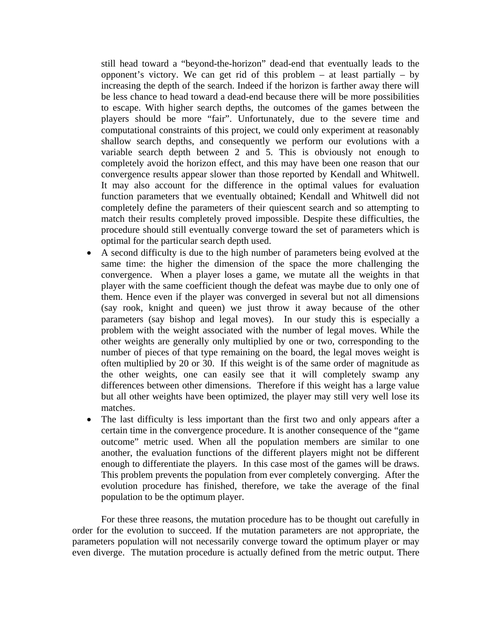still head toward a "beyond-the-horizon" dead-end that eventually leads to the opponent's victory. We can get rid of this problem  $-$  at least partially  $-$  by increasing the depth of the search. Indeed if the horizon is farther away there will be less chance to head toward a dead-end because there will be more possibilities to escape. With higher search depths, the outcomes of the games between the players should be more "fair". Unfortunately, due to the severe time and computational constraints of this project, we could only experiment at reasonably shallow search depths, and consequently we perform our evolutions with a variable search depth between 2 and 5. This is obviously not enough to completely avoid the horizon effect, and this may have been one reason that our convergence results appear slower than those reported by Kendall and Whitwell. It may also account for the difference in the optimal values for evaluation function parameters that we eventually obtained; Kendall and Whitwell did not completely define the parameters of their quiescent search and so attempting to match their results completely proved impossible. Despite these difficulties, the procedure should still eventually converge toward the set of parameters which is optimal for the particular search depth used.

- A second difficulty is due to the high number of parameters being evolved at the same time: the higher the dimension of the space the more challenging the convergence. When a player loses a game, we mutate all the weights in that player with the same coefficient though the defeat was maybe due to only one of them. Hence even if the player was converged in several but not all dimensions (say rook, knight and queen) we just throw it away because of the other parameters (say bishop and legal moves). In our study this is especially a problem with the weight associated with the number of legal moves. While the other weights are generally only multiplied by one or two, corresponding to the number of pieces of that type remaining on the board, the legal moves weight is often multiplied by 20 or 30. If this weight is of the same order of magnitude as the other weights, one can easily see that it will completely swamp any differences between other dimensions. Therefore if this weight has a large value but all other weights have been optimized, the player may still very well lose its matches.
- The last difficulty is less important than the first two and only appears after a certain time in the convergence procedure. It is another consequence of the "game outcome" metric used. When all the population members are similar to one another, the evaluation functions of the different players might not be different enough to differentiate the players. In this case most of the games will be draws. This problem prevents the population from ever completely converging. After the evolution procedure has finished, therefore, we take the average of the final population to be the optimum player.

For these three reasons, the mutation procedure has to be thought out carefully in order for the evolution to succeed. If the mutation parameters are not appropriate, the parameters population will not necessarily converge toward the optimum player or may even diverge. The mutation procedure is actually defined from the metric output. There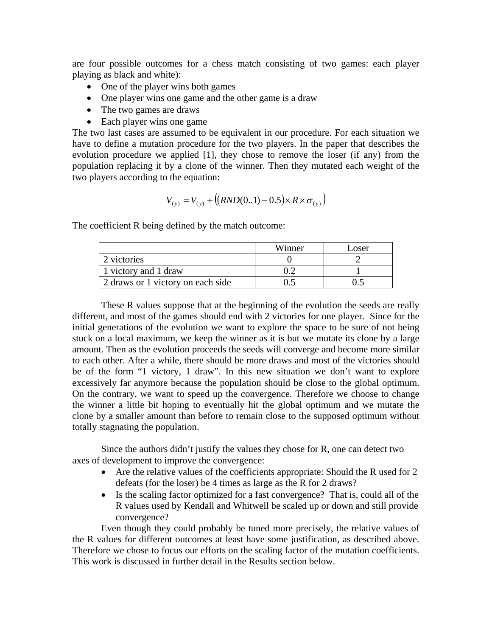are four possible outcomes for a chess match consisting of two games: each player playing as black and white):

- One of the player wins both games
- One player wins one game and the other game is a draw
- The two games are draws
- Each player wins one game

The two last cases are assumed to be equivalent in our procedure. For each situation we have to define a mutation procedure for the two players. In the paper that describes the evolution procedure we applied [1], they chose to remove the loser (if any) from the population replacing it by a clone of the winner. Then they mutated each weight of the two players according to the equation:

$$
V_{(y)} = V_{(y)} + ((RND(0..1) - 0.5) \times R \times \sigma_{(y)})
$$

The coefficient R being defined by the match outcome:

|                                   | Winner | Loser |
|-----------------------------------|--------|-------|
| 2 victories                       |        |       |
| 1 victory and 1 draw              |        |       |
| 2 draws or 1 victory on each side |        |       |

These R values suppose that at the beginning of the evolution the seeds are really different, and most of the games should end with 2 victories for one player. Since for the initial generations of the evolution we want to explore the space to be sure of not being stuck on a local maximum, we keep the winner as it is but we mutate its clone by a large amount. Then as the evolution proceeds the seeds will converge and become more similar to each other. After a while, there should be more draws and most of the victories should be of the form "1 victory, 1 draw". In this new situation we don't want to explore excessively far anymore because the population should be close to the global optimum. On the contrary, we want to speed up the convergence. Therefore we choose to change the winner a little bit hoping to eventually hit the global optimum and we mutate the clone by a smaller amount than before to remain close to the supposed optimum without totally stagnating the population.

Since the authors didn't justify the values they chose for R, one can detect two axes of development to improve the convergence:

- Are the relative values of the coefficients appropriate: Should the R used for 2 defeats (for the loser) be 4 times as large as the R for 2 draws?
- Is the scaling factor optimized for a fast convergence? That is, could all of the R values used by Kendall and Whitwell be scaled up or down and still provide convergence?

Even though they could probably be tuned more precisely, the relative values of the R values for different outcomes at least have some justification, as described above. Therefore we chose to focus our efforts on the scaling factor of the mutation coefficients. This work is discussed in further detail in the Results section below.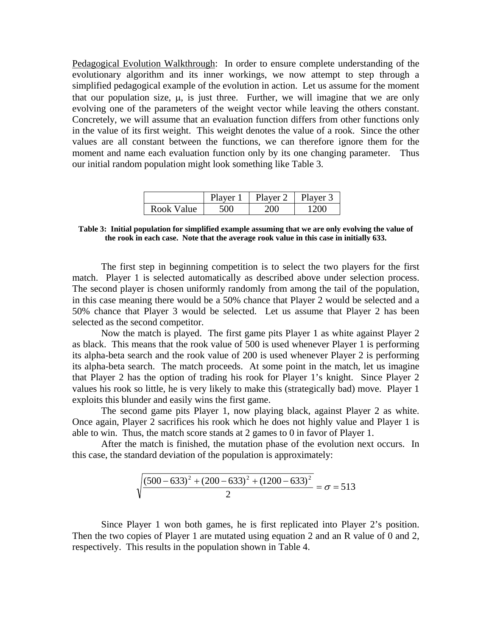Pedagogical Evolution Walkthrough: In order to ensure complete understanding of the evolutionary algorithm and its inner workings, we now attempt to step through a simplified pedagogical example of the evolution in action. Let us assume for the moment that our population size,  $\mu$ , is just three. Further, we will imagine that we are only evolving one of the parameters of the weight vector while leaving the others constant. Concretely, we will assume that an evaluation function differs from other functions only in the value of its first weight. This weight denotes the value of a rook. Since the other values are all constant between the functions, we can therefore ignore them for the moment and name each evaluation function only by its one changing parameter. Thus our initial random population might look something like Table 3.

|            | ות<br>7er | m1<br>ver<br>∎ы | $\mathbf{D1}$<br>Javer - |
|------------|-----------|-----------------|--------------------------|
| Rook Value | OC        | ١M              |                          |

**Table 3: Initial population for simplified example assuming that we are only evolving the value of the rook in each case. Note that the average rook value in this case in initially 633.**

The first step in beginning competition is to select the two players for the first match. Player 1 is selected automatically as described above under selection process. The second player is chosen uniformly randomly from among the tail of the population, in this case meaning there would be a 50% chance that Player 2 would be selected and a 50% chance that Player 3 would be selected. Let us assume that Player 2 has been selected as the second competitor.

Now the match is played. The first game pits Player 1 as white against Player 2 as black. This means that the rook value of 500 is used whenever Player 1 is performing its alpha-beta search and the rook value of 200 is used whenever Player 2 is performing its alpha-beta search. The match proceeds. At some point in the match, let us imagine that Player 2 has the option of trading his rook for Player 1's knight. Since Player 2 values his rook so little, he is very likely to make this (strategically bad) move. Player 1 exploits this blunder and easily wins the first game.

The second game pits Player 1, now playing black, against Player 2 as white. Once again, Player 2 sacrifices his rook which he does not highly value and Player 1 is able to win. Thus, the match score stands at 2 games to 0 in favor of Player 1.

After the match is finished, the mutation phase of the evolution next occurs. In this case, the standard deviation of the population is approximately:

$$
\sqrt{\frac{(500 - 633)^2 + (200 - 633)^2 + (1200 - 633)^2}{2}} = \sigma = 513
$$

Since Player 1 won both games, he is first replicated into Player 2's position. Then the two copies of Player 1 are mutated using equation 2 and an R value of 0 and 2. respectively. This results in the population shown in Table 4.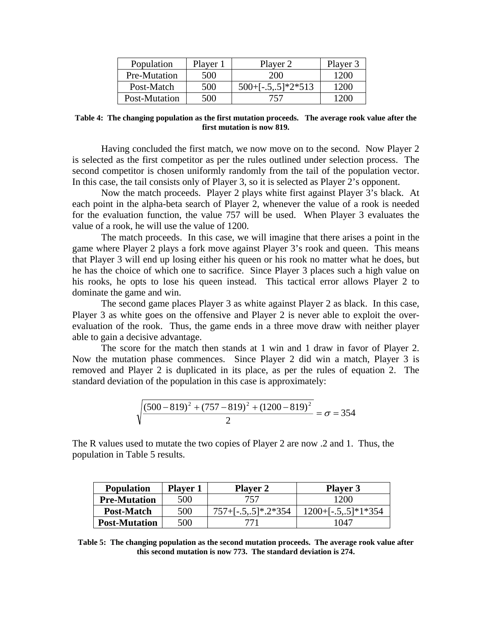| Population    | Player 1 | Player 2             | Player 3 |
|---------------|----------|----------------------|----------|
| Pre-Mutation  | 500      | 200                  | 1200     |
| Post-Match    | 500      | $500+[-.5,.5]*2*513$ | 1200     |
| Post-Mutation | 500      | 757                  |          |

**Table 4: The changing population as the first mutation proceeds. The average rook value after the first mutation is now 819.**

Having concluded the first match, we now move on to the second. Now Player 2 is selected as the first competitor as per the rules outlined under selection process. The second competitor is chosen uniformly randomly from the tail of the population vector. In this case, the tail consists only of Player 3, so it is selected as Player 2's opponent.

Now the match proceeds. Player 2 plays white first against Player 3's black. At each point in the alpha-beta search of Player 2, whenever the value of a rook is needed for the evaluation function, the value 757 will be used. When Player 3 evaluates the value of a rook, he will use the value of 1200.

The match proceeds. In this case, we will imagine that there arises a point in the game where Player 2 plays a fork move against Player 3's rook and queen. This means that Player 3 will end up losing either his queen or his rook no matter what he does, but he has the choice of which one to sacrifice. Since Player 3 places such a high value on his rooks, he opts to lose his queen instead. This tactical error allows Player 2 to dominate the game and win.

The second game places Player 3 as white against Player 2 as black. In this case, Player 3 as white goes on the offensive and Player 2 is never able to exploit the overevaluation of the rook. Thus, the game ends in a three move draw with neither player able to gain a decisive advantage.

The score for the match then stands at 1 win and 1 draw in favor of Player 2. Now the mutation phase commences. Since Player 2 did win a match, Player 3 is removed and Player 2 is duplicated in its place, as per the rules of equation 2. The standard deviation of the population in this case is approximately:

$$
\sqrt{\frac{(500-819)^2 + (757-819)^2 + (1200-819)^2}{2}} = \sigma = 354
$$

The R values used to mutate the two copies of Player 2 are now .2 and 1. Thus, the population in Table 5 results.

| <b>Population</b>    | <b>Player 1</b> | <b>Player 2</b>           | <b>Player 3</b>       |
|----------------------|-----------------|---------------------------|-----------------------|
| <b>Pre-Mutation</b>  | 500             | 757                       | 1200                  |
| Post-Match           | 500             | $757 + [-.5,.5]^* .2*354$ | $1200+[-.5,.5]*1*354$ |
| <b>Post-Mutation</b> | 500             | 771                       | 1047                  |

**Table 5: The changing population as the second mutation proceeds. The average rook value after this second mutation is now 773. The standard deviation is 274.**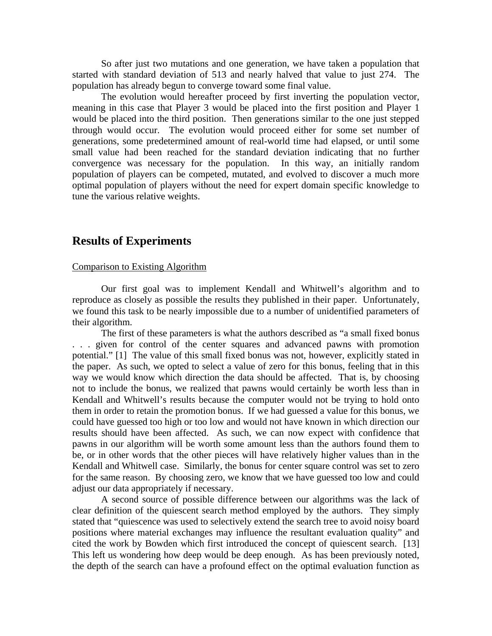So after just two mutations and one generation, we have taken a population that started with standard deviation of 513 and nearly halved that value to just 274. The population has already begun to converge toward some final value.

 The evolution would hereafter proceed by first inverting the population vector, meaning in this case that Player 3 would be placed into the first position and Player 1 would be placed into the third position. Then generations similar to the one just stepped through would occur. The evolution would proceed either for some set number of generations, some predetermined amount of real-world time had elapsed, or until some small value had been reached for the standard deviation indicating that no further convergence was necessary for the population. In this way, an initially random population of players can be competed, mutated, and evolved to discover a much more optimal population of players without the need for expert domain specific knowledge to tune the various relative weights.

### **Results of Experiments**

#### Comparison to Existing Algorithm

 Our first goal was to implement Kendall and Whitwell's algorithm and to reproduce as closely as possible the results they published in their paper. Unfortunately, we found this task to be nearly impossible due to a number of unidentified parameters of their algorithm.

 The first of these parameters is what the authors described as "a small fixed bonus . . . given for control of the center squares and advanced pawns with promotion potential." [1] The value of this small fixed bonus was not, however, explicitly stated in the paper. As such, we opted to select a value of zero for this bonus, feeling that in this way we would know which direction the data should be affected. That is, by choosing not to include the bonus, we realized that pawns would certainly be worth less than in Kendall and Whitwell's results because the computer would not be trying to hold onto them in order to retain the promotion bonus. If we had guessed a value for this bonus, we could have guessed too high or too low and would not have known in which direction our results should have been affected. As such, we can now expect with confidence that pawns in our algorithm will be worth some amount less than the authors found them to be, or in other words that the other pieces will have relatively higher values than in the Kendall and Whitwell case. Similarly, the bonus for center square control was set to zero for the same reason. By choosing zero, we know that we have guessed too low and could adjust our data appropriately if necessary.

 A second source of possible difference between our algorithms was the lack of clear definition of the quiescent search method employed by the authors. They simply stated that "quiescence was used to selectively extend the search tree to avoid noisy board positions where material exchanges may influence the resultant evaluation quality" and cited the work by Bowden which first introduced the concept of quiescent search. [13] This left us wondering how deep would be deep enough. As has been previously noted, the depth of the search can have a profound effect on the optimal evaluation function as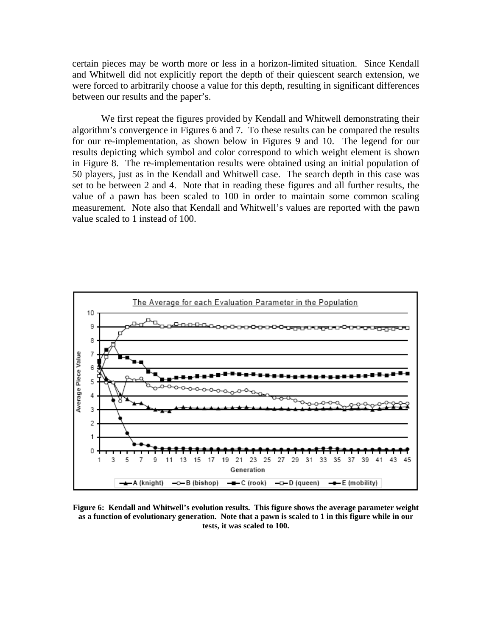certain pieces may be worth more or less in a horizon-limited situation. Since Kendall and Whitwell did not explicitly report the depth of their quiescent search extension, we were forced to arbitrarily choose a value for this depth, resulting in significant differences between our results and the paper's.

We first repeat the figures provided by Kendall and Whitwell demonstrating their algorithm's convergence in Figures 6 and 7. To these results can be compared the results for our re-implementation, as shown below in Figures 9 and 10. The legend for our results depicting which symbol and color correspond to which weight element is shown in Figure 8. The re-implementation results were obtained using an initial population of 50 players, just as in the Kendall and Whitwell case. The search depth in this case was set to be between 2 and 4. Note that in reading these figures and all further results, the value of a pawn has been scaled to 100 in order to maintain some common scaling measurement. Note also that Kendall and Whitwell's values are reported with the pawn value scaled to 1 instead of 100.



**Figure 6: Kendall and Whitwell's evolution results. This figure shows the average parameter weight as a function of evolutionary generation. Note that a pawn is scaled to 1 in this figure while in our tests, it was scaled to 100.**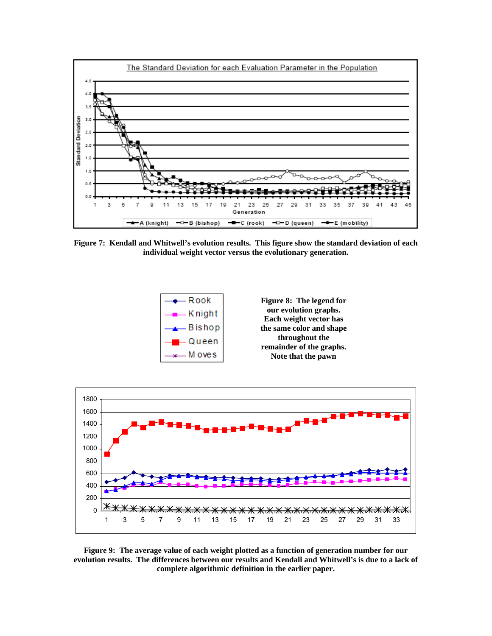

**Figure 7: Kendall and Whitwell's evolution results. This figure show the standard deviation of each individual weight vector versus the evolutionary generation.** 





**Figure 9: The average value of each weight plotted as a function of generation number for our evolution results. The differences between our results and Kendall and Whitwell's is due to a lack of complete algorithmic definition in the earlier paper.**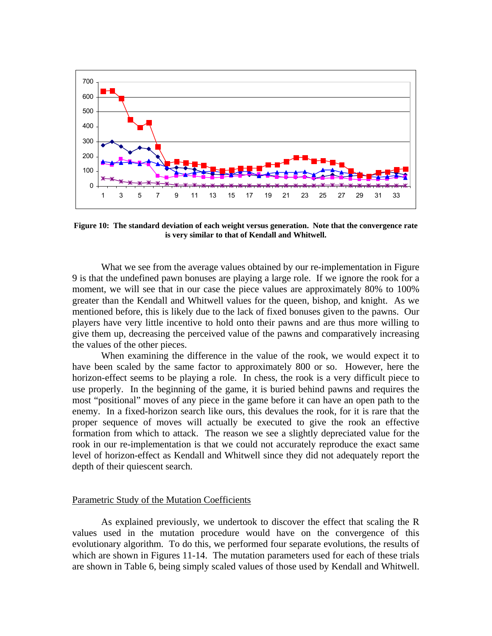

**Figure 10: The standard deviation of each weight versus generation. Note that the convergence rate is very similar to that of Kendall and Whitwell.** 

What we see from the average values obtained by our re-implementation in Figure 9 is that the undefined pawn bonuses are playing a large role. If we ignore the rook for a moment, we will see that in our case the piece values are approximately 80% to 100% greater than the Kendall and Whitwell values for the queen, bishop, and knight. As we mentioned before, this is likely due to the lack of fixed bonuses given to the pawns. Our players have very little incentive to hold onto their pawns and are thus more willing to give them up, decreasing the perceived value of the pawns and comparatively increasing the values of the other pieces.

When examining the difference in the value of the rook, we would expect it to have been scaled by the same factor to approximately 800 or so. However, here the horizon-effect seems to be playing a role. In chess, the rook is a very difficult piece to use properly. In the beginning of the game, it is buried behind pawns and requires the most "positional" moves of any piece in the game before it can have an open path to the enemy. In a fixed-horizon search like ours, this devalues the rook, for it is rare that the proper sequence of moves will actually be executed to give the rook an effective formation from which to attack. The reason we see a slightly depreciated value for the rook in our re-implementation is that we could not accurately reproduce the exact same level of horizon-effect as Kendall and Whitwell since they did not adequately report the depth of their quiescent search.

#### Parametric Study of the Mutation Coefficients

As explained previously, we undertook to discover the effect that scaling the R values used in the mutation procedure would have on the convergence of this evolutionary algorithm. To do this, we performed four separate evolutions, the results of which are shown in Figures 11-14. The mutation parameters used for each of these trials are shown in Table 6, being simply scaled values of those used by Kendall and Whitwell.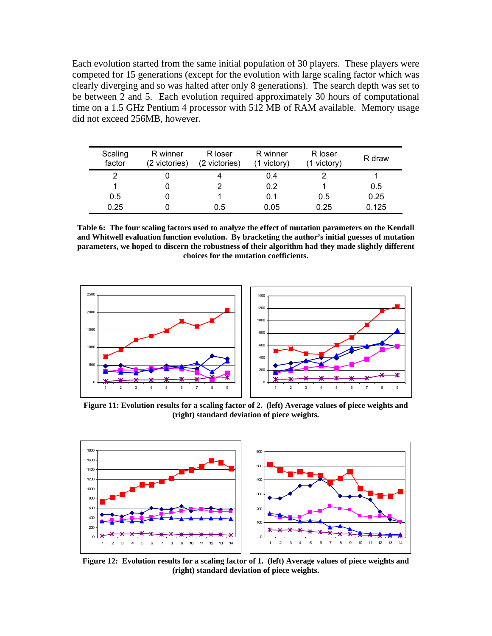Each evolution started from the same initial population of 30 players. These players were competed for 15 generations (except for the evolution with large scaling factor which was clearly diverging and so was halted after only 8 generations). The search depth was set to be between 2 and 5. Each evolution required approximately 30 hours of computational time on a 1.5 GHz Pentium 4 processor with 512 MB of RAM available. Memory usage did not exceed 256MB, however.

| Scaling<br>factor | R winner<br>(2 victories) | R loser<br>(2 victories) | R winner<br>(1 victory) | R loser<br>(1 victory) | R draw |
|-------------------|---------------------------|--------------------------|-------------------------|------------------------|--------|
| 2                 |                           |                          | 0.4                     |                        |        |
|                   |                           |                          | 0.2                     |                        | 0.5    |
| 0.5               |                           |                          | 0.1                     | 0.5                    | 0.25   |
| 0.25              |                           | 0.5                      | 0.05                    | 0.25                   | 0.125  |

**Table 6: The four scaling factors used to analyze the effect of mutation parameters on the Kendall and Whitwell evaluation function evolution. By bracketing the author's initial guesses of mutation parameters, we hoped to discern the robustness of their algorithm had they made slightly different choices for the mutation coefficients.** 



**Figure 11: Evolution results for a scaling factor of 2. (left) Average values of piece weights and (right) standard deviation of piece weights.** 



**Figure 12: Evolution results for a scaling factor of 1. (left) Average values of piece weights and (right) standard deviation of piece weights.**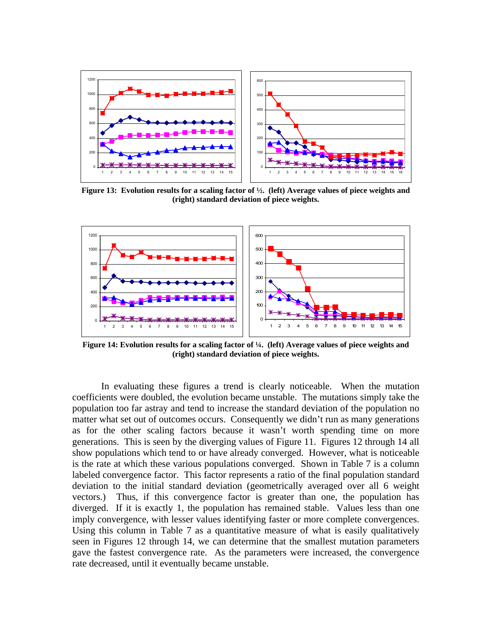

**Figure 13: Evolution results for a scaling factor of ½. (left) Average values of piece weights and (right) standard deviation of piece weights.** 



**Figure 14: Evolution results for a scaling factor of ¼. (left) Average values of piece weights and (right) standard deviation of piece weights.** 

In evaluating these figures a trend is clearly noticeable. When the mutation coefficients were doubled, the evolution became unstable. The mutations simply take the population too far astray and tend to increase the standard deviation of the population no matter what set out of outcomes occurs. Consequently we didn't run as many generations as for the other scaling factors because it wasn't worth spending time on more generations. This is seen by the diverging values of Figure 11. Figures 12 through 14 all show populations which tend to or have already converged. However, what is noticeable is the rate at which these various populations converged. Shown in Table 7 is a column labeled convergence factor. This factor represents a ratio of the final population standard deviation to the initial standard deviation (geometrically averaged over all 6 weight vectors.) Thus, if this convergence factor is greater than one, the population has diverged. If it is exactly 1, the population has remained stable. Values less than one imply convergence, with lesser values identifying faster or more complete convergences. Using this column in Table 7 as a quantitative measure of what is easily qualitatively seen in Figures 12 through 14, we can determine that the smallest mutation parameters gave the fastest convergence rate. As the parameters were increased, the convergence rate decreased, until it eventually became unstable.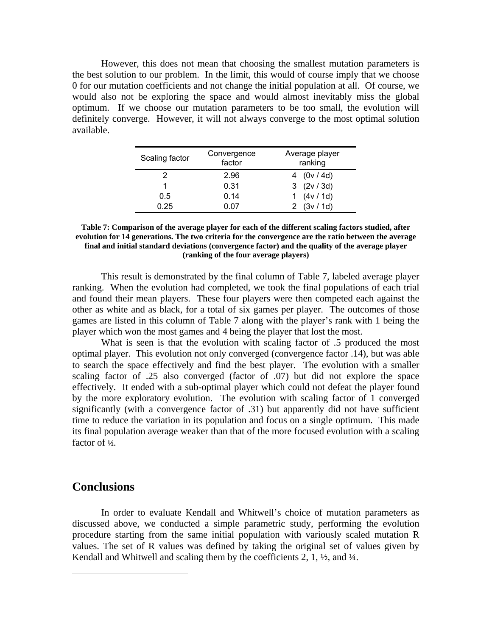However, this does not mean that choosing the smallest mutation parameters is the best solution to our problem. In the limit, this would of course imply that we choose 0 for our mutation coefficients and not change the initial population at all. Of course, we would also not be exploring the space and would almost inevitably miss the global optimum. If we choose our mutation parameters to be too small, the evolution will definitely converge. However, it will not always converge to the most optimal solution available.

| Scaling factor | Convergence<br>factor | Average player<br>ranking |
|----------------|-----------------------|---------------------------|
|                | 2.96                  | 4 $(0v / 4d)$             |
|                | 0.31                  | 3 (2v/3d)                 |
| 0.5            | 0.14                  | 1 $(4v / 1d)$             |
| 0.25           | 0.07                  | (3v / 1d)                 |

**Table 7: Comparison of the average player for each of the different scaling factors studied, after evolution for 14 generations. The two criteria for the convergence are the ratio between the average final and initial standard deviations (convergence factor) and the quality of the average player (ranking of the four average players)** 

 This result is demonstrated by the final column of Table 7, labeled average player ranking. When the evolution had completed, we took the final populations of each trial and found their mean players. These four players were then competed each against the other as white and as black, for a total of six games per player. The outcomes of those games are listed in this column of Table 7 along with the player's rank with 1 being the player which won the most games and 4 being the player that lost the most.

What is seen is that the evolution with scaling factor of .5 produced the most optimal player. This evolution not only converged (convergence factor .14), but was able to search the space effectively and find the best player. The evolution with a smaller scaling factor of .25 also converged (factor of .07) but did not explore the space effectively. It ended with a sub-optimal player which could not defeat the player found by the more exploratory evolution. The evolution with scaling factor of 1 converged significantly (with a convergence factor of .31) but apparently did not have sufficient time to reduce the variation in its population and focus on a single optimum. This made its final population average weaker than that of the more focused evolution with a scaling factor of **½**.

### **Conclusions**

1

In order to evaluate Kendall and Whitwell's choice of mutation parameters as discussed above, we conducted a simple parametric study, performing the evolution procedure starting from the same initial population with variously scaled mutation R values. The set of R values was defined by taking the original set of values given by Kendall and Whitwell and scaling them by the coefficients 2, 1,  $\frac{1}{2}$ , and  $\frac{1}{4}$ .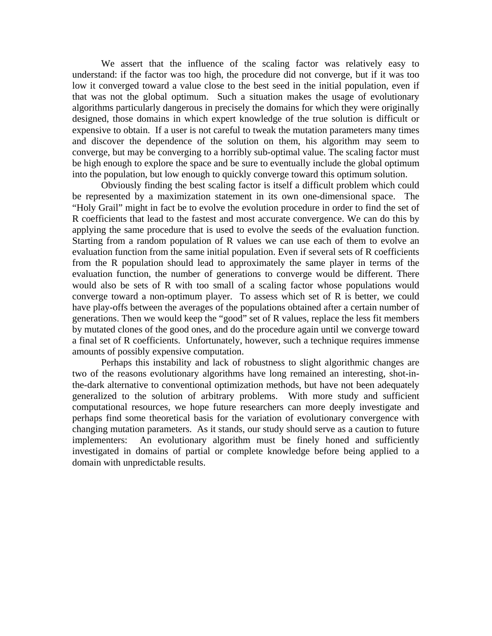We assert that the influence of the scaling factor was relatively easy to understand: if the factor was too high, the procedure did not converge, but if it was too low it converged toward a value close to the best seed in the initial population, even if that was not the global optimum. Such a situation makes the usage of evolutionary algorithms particularly dangerous in precisely the domains for which they were originally designed, those domains in which expert knowledge of the true solution is difficult or expensive to obtain. If a user is not careful to tweak the mutation parameters many times and discover the dependence of the solution on them, his algorithm may seem to converge, but may be converging to a horribly sub-optimal value. The scaling factor must be high enough to explore the space and be sure to eventually include the global optimum into the population, but low enough to quickly converge toward this optimum solution.

Obviously finding the best scaling factor is itself a difficult problem which could be represented by a maximization statement in its own one-dimensional space. The "Holy Grail" might in fact be to evolve the evolution procedure in order to find the set of R coefficients that lead to the fastest and most accurate convergence. We can do this by applying the same procedure that is used to evolve the seeds of the evaluation function. Starting from a random population of R values we can use each of them to evolve an evaluation function from the same initial population. Even if several sets of R coefficients from the R population should lead to approximately the same player in terms of the evaluation function, the number of generations to converge would be different. There would also be sets of R with too small of a scaling factor whose populations would converge toward a non-optimum player. To assess which set of R is better, we could have play-offs between the averages of the populations obtained after a certain number of generations. Then we would keep the "good" set of R values, replace the less fit members by mutated clones of the good ones, and do the procedure again until we converge toward a final set of R coefficients. Unfortunately, however, such a technique requires immense amounts of possibly expensive computation.

Perhaps this instability and lack of robustness to slight algorithmic changes are two of the reasons evolutionary algorithms have long remained an interesting, shot-inthe-dark alternative to conventional optimization methods, but have not been adequately generalized to the solution of arbitrary problems. With more study and sufficient computational resources, we hope future researchers can more deeply investigate and perhaps find some theoretical basis for the variation of evolutionary convergence with changing mutation parameters. As it stands, our study should serve as a caution to future implementers: An evolutionary algorithm must be finely honed and sufficiently investigated in domains of partial or complete knowledge before being applied to a domain with unpredictable results.